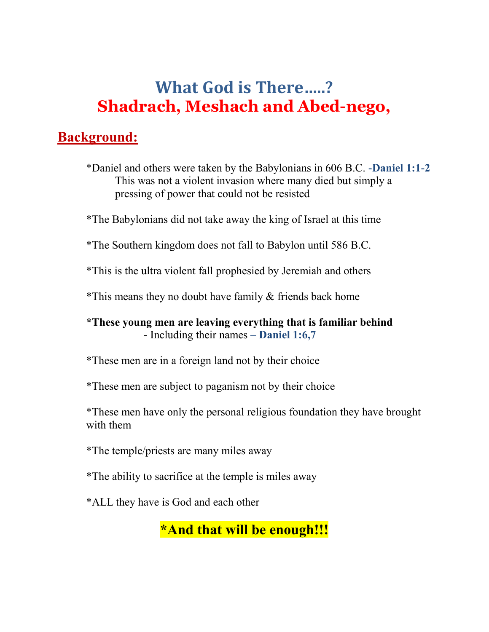# **What God is There…..? Shadrach, Meshach and Abed-nego,**

#### **Background:**

\*Daniel and others were taken by the Babylonians in 606 B.C. **-Daniel 1:1-2** This was not a violent invasion where many died but simply a pressing of power that could not be resisted

\*The Babylonians did not take away the king of Israel at this time

\*The Southern kingdom does not fall to Babylon until 586 B.C.

\*This is the ultra violent fall prophesied by Jeremiah and others

\*This means they no doubt have family & friends back home

#### **\*These young men are leaving everything that is familiar behind -** Including their names **– Daniel 1:6,7**

\*These men are in a foreign land not by their choice

\*These men are subject to paganism not by their choice

\*These men have only the personal religious foundation they have brought with them

\*The temple/priests are many miles away

\*The ability to sacrifice at the temple is miles away

\*ALL they have is God and each other

**\*And that will be enough!!!**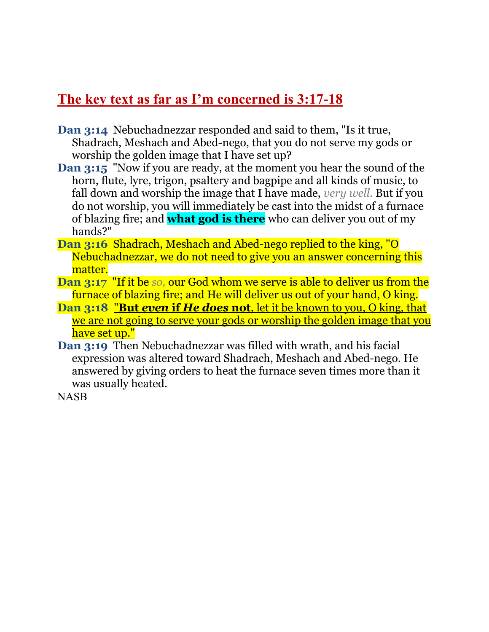### **The key text as far as I'm concerned is 3:17-18**

- **Dan 3:14** Nebuchadnezzar responded and said to them, "Is it true, Shadrach, Meshach and Abed-nego, that you do not serve my gods or worship the golden image that I have set up?
- **Dan 3:15** "Now if you are ready, at the moment you hear the sound of the horn, flute, lyre, trigon, psaltery and bagpipe and all kinds of music, to fall down and worship the image that I have made, *very well.* But if you do not worship, you will immediately be cast into the midst of a furnace of blazing fire; and **what god is there** who can deliver you out of my hands?"
- **Dan 3:16** Shadrach, Meshach and Abed-nego replied to the king, "O Nebuchadnezzar, we do not need to give you an answer concerning this matter.
- **Dan 3:17** "If it be *so,* our God whom we serve is able to deliver us from the furnace of blazing fire; and He will deliver us out of your hand, O king.
- **Dan 3:18** "**But** *even* **if** *He does* **not**, let it be known to you, O king, that we are not going to serve your gods or worship the golden image that you have set up."
- **Dan 3:19** Then Nebuchadnezzar was filled with wrath, and his facial expression was altered toward Shadrach, Meshach and Abed-nego. He answered by giving orders to heat the furnace seven times more than it was usually heated.

**NASB**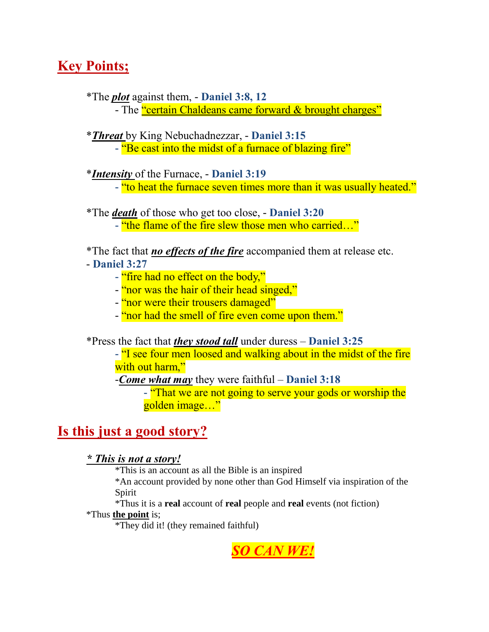## **Key Points;**

\*The *plot* against them, - **Daniel 3:8, 12**

- The "certain Chaldeans came forward & brought charges"

\**Threat* by King Nebuchadnezzar, - **Daniel 3:15**

**-** "Be cast into the midst of a furnace of blazing fire"

\**Intensity* of the Furnace, - **Daniel 3:19**

**-** "to heat the furnace seven times more than it was usually heated."

\*The *death* of those who get too close, - **Daniel 3:20**

**-** "the flame of the fire slew those men who carried…"

\*The fact that *no effects of the fire* accompanied them at release etc. - **Daniel 3:27**

- **-** "fire had no effect on the body,"
- "nor was the hair of their head singed,"
- "nor were their trousers damaged"
- "nor had the smell of fire even come upon them."

\*Press the fact that *they stood tall* under duress – **Daniel 3:25**

**-** "I see four men loosed and walking about in the midst of the fire with out harm,"

-*Come what may* they were faithful – **Daniel 3:18**

**-** "That we are not going to serve your gods or worship the golden image…"

### **Is this just a good story?**

*\* This is not a story!*

\*This is an account as all the Bible is an inspired

\*An account provided by none other than God Himself via inspiration of the Spirit

\*Thus it is a **real** account of **real** people and **real** events (not fiction)

\*Thus **the point** is;

\*They did it! (they remained faithful)

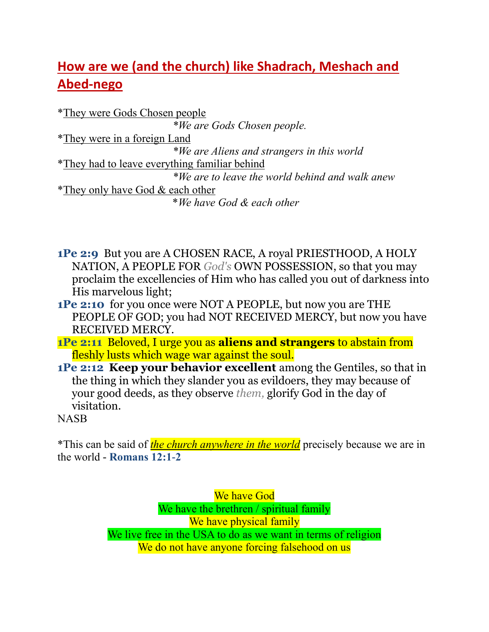# **How are we (and the church) like Shadrach, Meshach and Abed-nego**

\*They were Gods Chosen people *\*We are Gods Chosen people.* \*They were in a foreign Land *\*We are Aliens and strangers in this world* \*They had to leave everything familiar behind *\*We are to leave the world behind and walk anew* \*They only have God & each other \**We have God & each other*

- **1Pe 2:9** But you are A CHOSEN RACE, A royal PRIESTHOOD, A HOLY NATION, A PEOPLE FOR *God's* OWN POSSESSION, so that you may proclaim the excellencies of Him who has called you out of darkness into His marvelous light;
- **1Pe 2:10** for you once were NOT A PEOPLE, but now you are THE PEOPLE OF GOD; you had NOT RECEIVED MERCY, but now you have RECEIVED MERCY.
- **1Pe 2:11** Beloved, I urge you as **aliens and strangers** to abstain from fleshly lusts which wage war against the soul.
- **1Pe 2:12 Keep your behavior excellent** among the Gentiles, so that in the thing in which they slander you as evildoers, they may because of your good deeds, as they observe *them,* glorify God in the day of visitation.

NASB

\*This can be said of *the church anywhere in the world* precisely because we are in the world - **Romans 12:1-2**

> We have God We have the brethren / spiritual family We have physical family We live free in the USA to do as we want in terms of religion We do not have anyone forcing falsehood on us